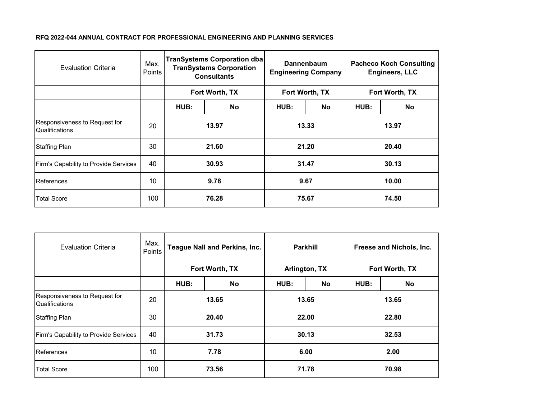| <b>Evaluation Criteria</b>                             | Max.<br><b>Points</b> | <b>TranSystems Corporation dba</b><br><b>TranSystems Corporation</b><br><b>Consultants</b> |           | Dannenbaum<br><b>Engineering Company</b> |           | <b>Pacheco Koch Consulting</b><br><b>Engineers, LLC</b> |    |
|--------------------------------------------------------|-----------------------|--------------------------------------------------------------------------------------------|-----------|------------------------------------------|-----------|---------------------------------------------------------|----|
|                                                        |                       | Fort Worth, TX                                                                             |           | Fort Worth, TX                           |           | Fort Worth, TX                                          |    |
|                                                        |                       | HUB:                                                                                       | <b>No</b> | HUB:                                     | <b>No</b> | HUB:                                                    | No |
| Responsiveness to Request for<br><b>Qualifications</b> | 20                    | 13.97                                                                                      |           | 13.33                                    |           | 13.97                                                   |    |
| <b>Staffing Plan</b>                                   | 30                    | 21.60                                                                                      |           | 21.20                                    |           | 20.40                                                   |    |
| Firm's Capability to Provide Services                  | 40                    | 30.93                                                                                      |           | 31.47                                    |           | 30.13                                                   |    |
| References                                             | 10                    | 9.78                                                                                       |           | 9.67                                     |           | 10.00                                                   |    |
| <b>Total Score</b>                                     | 100                   | 76.28                                                                                      |           | 75.67                                    |           | 74.50                                                   |    |

| <b>Evaluation Criteria</b>                             | Max.<br>Points | Teague Nall and Perkins, Inc. |    | <b>Parkhill</b> |    | Freese and Nichols, Inc. |    |
|--------------------------------------------------------|----------------|-------------------------------|----|-----------------|----|--------------------------|----|
|                                                        |                | Fort Worth, TX                |    | Arlington, TX   |    | Fort Worth, TX           |    |
|                                                        |                | HUB:                          | No | HUB:            | No | HUB:                     | No |
| Responsiveness to Request for<br><b>Qualifications</b> | 20             | 13.65                         |    | 13.65           |    | 13.65                    |    |
| <b>Staffing Plan</b>                                   | 30             | 20.40                         |    | 22.00           |    | 22.80                    |    |
| Firm's Capability to Provide Services                  | 40             | 31.73                         |    | 30.13           |    | 32.53                    |    |
| References                                             | 10             | 7.78                          |    | 6.00            |    | 2.00                     |    |
| <b>Total Score</b>                                     | 100            | 73.56                         |    | 71.78           |    | 70.98                    |    |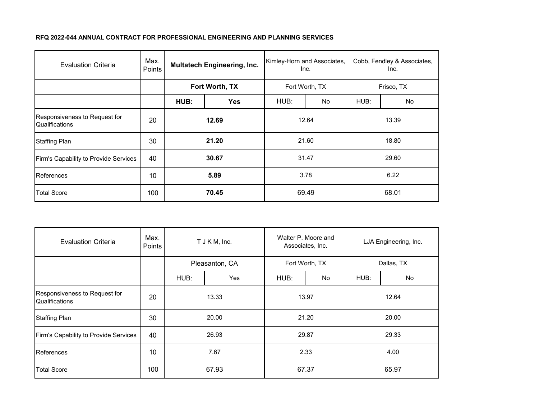| <b>Evaluation Criteria</b>                             | Max.<br>Points | <b>Multatech Engineering, Inc.</b> |            | Kimley-Horn and Associates,<br>Inc. |    | Cobb, Fendley & Associates,<br>Inc. |    |
|--------------------------------------------------------|----------------|------------------------------------|------------|-------------------------------------|----|-------------------------------------|----|
|                                                        |                | Fort Worth, TX                     |            | Fort Worth, TX                      |    | Frisco, TX                          |    |
|                                                        |                | HUB:                               | <b>Yes</b> | HUB:                                | No | HUB:                                | No |
| Responsiveness to Request for<br><b>Qualifications</b> | 20             | 12.69                              |            | 12.64                               |    | 13.39                               |    |
| <b>Staffing Plan</b>                                   | 30             | 21.20                              |            | 21.60                               |    | 18.80                               |    |
| Firm's Capability to Provide Services                  | 40             | 30.67                              |            | 31.47                               |    | 29.60                               |    |
| References                                             | 10             | 5.89                               |            | 3.78                                |    | 6.22                                |    |
| Total Score                                            | 100            | 70.45                              |            | 69.49                               |    | 68.01                               |    |

| <b>Evaluation Criteria</b>                      | Max.<br>Points | T J K M, Inc.  |     | Walter P. Moore and<br>Associates, Inc. |    | LJA Engineering, Inc. |    |
|-------------------------------------------------|----------------|----------------|-----|-----------------------------------------|----|-----------------------|----|
|                                                 |                | Pleasanton, CA |     | Fort Worth, TX                          |    | Dallas, TX            |    |
|                                                 |                | HUB:           | Yes | HUB:                                    | No | HUB:                  | No |
| Responsiveness to Request for<br>Qualifications | 20             | 13.33          |     | 13.97                                   |    | 12.64                 |    |
| <b>Staffing Plan</b>                            | 30             | 20.00          |     | 21.20                                   |    | 20.00                 |    |
| Firm's Capability to Provide Services           | 40             | 26.93          |     | 29.87                                   |    | 29.33                 |    |
| References                                      | 10             | 7.67           |     | 2.33                                    |    | 4.00                  |    |
| <b>Total Score</b>                              | 100            | 67.93          |     | 67.37                                   |    | 65.97                 |    |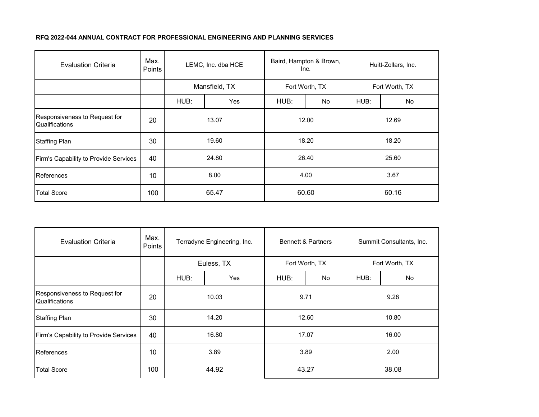| <b>Evaluation Criteria</b>                      | Max.<br>Points | LEMC, Inc. dba HCE |            | Baird, Hampton & Brown,<br>Inc. |    | Huitt-Zollars, Inc. |    |
|-------------------------------------------------|----------------|--------------------|------------|---------------------------------|----|---------------------|----|
|                                                 |                | Mansfield, TX      |            | Fort Worth, TX                  |    | Fort Worth, TX      |    |
|                                                 |                | HUB:               | <b>Yes</b> | HUB:                            | No | HUB:                | No |
| Responsiveness to Request for<br>Qualifications | 20             | 13.07              |            | 12.00                           |    | 12.69               |    |
| <b>Staffing Plan</b>                            | 30             | 19.60              |            | 18.20                           |    | 18.20               |    |
| Firm's Capability to Provide Services           | 40             | 24.80              |            | 26.40                           |    | 25.60               |    |
| References                                      | 10             | 8.00               |            | 4.00                            |    | 3.67                |    |
| <b>Total Score</b>                              | 100            | 65.47              |            | 60.60                           |    | 60.16               |    |

| <b>Evaluation Criteria</b>                      | Max.<br>Points | Terradyne Engineering, Inc. |  | <b>Bennett &amp; Partners</b> |           | Summit Consultants, Inc. |    |
|-------------------------------------------------|----------------|-----------------------------|--|-------------------------------|-----------|--------------------------|----|
|                                                 |                | Euless, TX                  |  | Fort Worth, TX                |           | Fort Worth, TX           |    |
|                                                 |                | HUB:<br><b>Yes</b>          |  | HUB:                          | <b>No</b> | HUB:                     | No |
| Responsiveness to Request for<br>Qualifications | 20             | 10.03                       |  | 9.71                          |           | 9.28                     |    |
| <b>Staffing Plan</b>                            | 30             | 14.20                       |  | 12.60                         |           | 10.80                    |    |
| Firm's Capability to Provide Services           | 40             | 16.80                       |  | 17.07                         |           | 16.00                    |    |
| References                                      | 10             | 3.89                        |  | 3.89                          |           | 2.00                     |    |
| <b>Total Score</b>                              | 100            | 44.92                       |  | 43.27                         |           | 38.08                    |    |